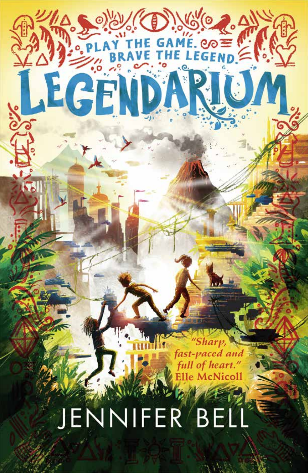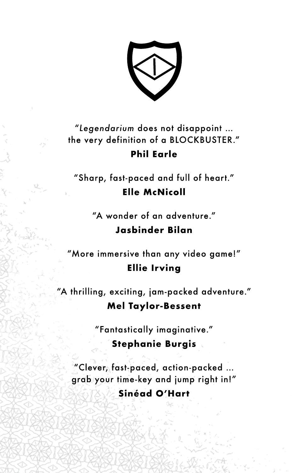### "*Legendarium* does not disappoint … the very definition of a BLOCKBUSTER." **Phil Earle**

"Sharp, fast-paced and full of heart." **Elle McNicoll**

> "A wonder of an adventure." **Jasbinder Bilan**

"More immersive than any video game!" **Ellie Irving**

"A thrilling, exciting, jam-packed adventure." **Mel Taylor-Bessent**

"Fantastically imaginative."

### **Stephanie Burgis**

"Clever, fast-paced, action-packed … grab your time-key and jump right in!" **Sinéad O'Hart**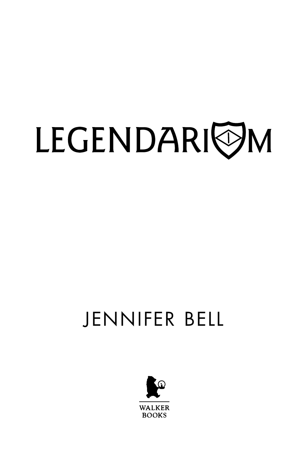# LEGENDARIOM

## JENNIFER BELL

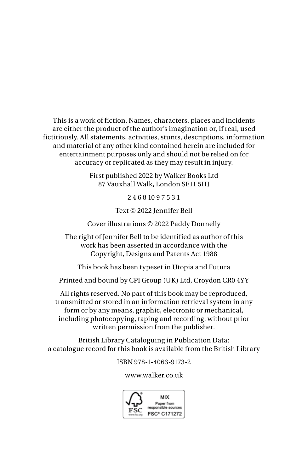This is a work of fiction. Names, characters, places and incidents are either the product of the author's imagination or, if real, used fictitiously. All statements, activities, stunts, descriptions, information and material of any other kind contained herein are included for entertainment purposes only and should not be relied on for accuracy or replicated as they may result in injury.

> First published 2022 by Walker Books Ltd 87 Vauxhall Walk, London SE11 5HJ

> > 2 4 6 8 10 9 7 5 3 1

Text © 2022 Jennifer Bell

Cover illustrations © 2022 Paddy Donnelly

The right of Jennifer Bell to be identified as author of this work has been asserted in accordance with the Copyright, Designs and Patents Act 1988

This book has been typeset in Utopia and Futura

Printed and bound by CPI Group (UK) Ltd, Croydon CR0 4YY

All rights reserved. No part of this book may be reproduced, transmitted or stored in an information retrieval system in any form or by any means, graphic, electronic or mechanical, including photocopying, taping and recording, without prior written permission from the publisher.

British Library Cataloguing in Publication Data: a catalogue record for this book is available from the British Library

ISBN 978-1-4063-9173-2

#### www.walker.co.uk

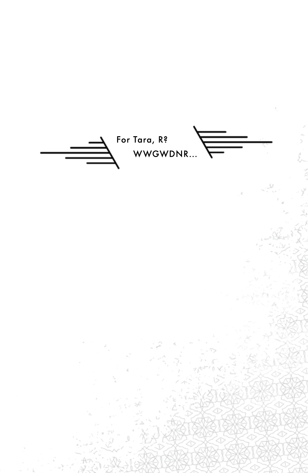For Tara, R? WWGWDNR...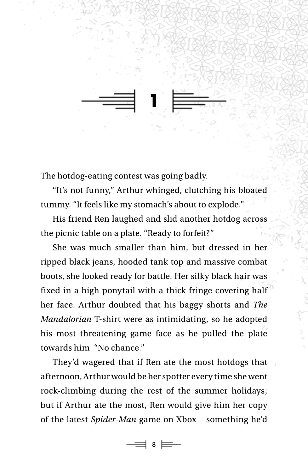The hotdog-eating contest was going badly.

"It's not funny," Arthur whinged, clutching his bloated tummy. "It feels like my stomach's about to explode."

**1**

His friend Ren laughed and slid another hotdog across the picnic table on a plate. "Ready to forfeit?"

She was much smaller than him, but dressed in her ripped black jeans, hooded tank top and massive combat boots, she looked ready for battle. Her silky black hair was fixed in a high ponytail with a thick fringe covering half her face. Arthur doubted that his baggy shorts and *The Mandalorian* T-shirt were as intimidating, so he adopted his most threatening game face as he pulled the plate towards him. "No chance."

They'd wagered that if Ren ate the most hotdogs that afternoon, Arthur would be her spotter every time she went rock-climbing during the rest of the summer holidays; but if Arthur ate the most, Ren would give him her copy of the latest *Spider-Man* game on Xbox – something he'd

8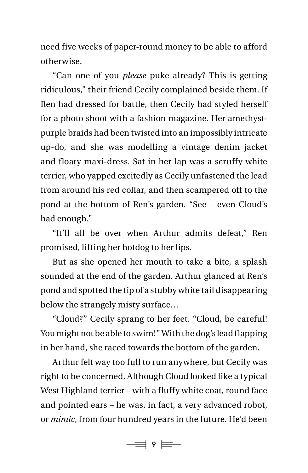need five weeks of paper-round money to be able to afford otherwise.

"Can one of you *please* puke already? This is getting ridiculous," their friend Cecily complained beside them. If Ren had dressed for battle, then Cecily had styled herself for a photo shoot with a fashion magazine. Her amethystpurple braids had been twisted into an impossibly intricate up-do, and she was modelling a vintage denim jacket and floaty maxi-dress. Sat in her lap was a scruffy white terrier, who yapped excitedly as Cecily unfastened the lead from around his red collar, and then scampered off to the pond at the bottom of Ren's garden. "See – even Cloud's had enough."

"It'll all be over when Arthur admits defeat," Ren promised, lifting her hotdog to her lips.

But as she opened her mouth to take a bite, a splash sounded at the end of the garden. Arthur glanced at Ren's pond and spotted the tip of a stubby white tail disappearing below the strangely misty surface…

"Cloud?" Cecily sprang to her feet. "Cloud, be careful! You might not be able to swim!" With the dog's lead flapping in her hand, she raced towards the bottom of the garden.

Arthur felt way too full to run anywhere, but Cecily was right to be concerned. Although Cloud looked like a typical West Highland terrier – with a fluffy white coat, round face and pointed ears – he was, in fact, a very advanced robot, or *mimic*, from four hundred years in the future. He'd been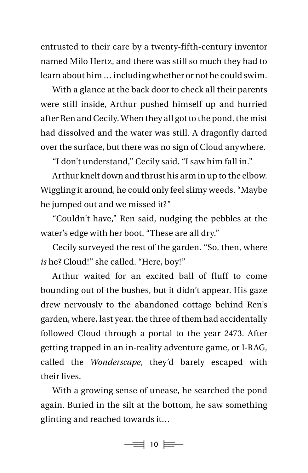entrusted to their care by a twenty-fifth-century inventor named Milo Hertz, and there was still so much they had to learn about him … including whether or not he could swim.

With a glance at the back door to check all their parents were still inside, Arthur pushed himself up and hurried after Ren and Cecily. When they all got to the pond, the mist had dissolved and the water was still. A dragonfly darted over the surface, but there was no sign of Cloud anywhere.

"I don't understand," Cecily said. "I saw him fall in."

Arthur knelt down and thrust his arm in up to the elbow. Wiggling it around, he could only feel slimy weeds. "Maybe he jumped out and we missed it?"

"Couldn't have," Ren said, nudging the pebbles at the water's edge with her boot. "These are all dry."

Cecily surveyed the rest of the garden. "So, then, where *is* he? Cloud!" she called. "Here, boy!"

Arthur waited for an excited ball of fluff to come bounding out of the bushes, but it didn't appear. His gaze drew nervously to the abandoned cottage behind Ren's garden, where, last year, the three of them had accidentally followed Cloud through a portal to the year 2473. After getting trapped in an in-reality adventure game, or I-RAG, called the *Wonderscape*, they'd barely escaped with their lives.

With a growing sense of unease, he searched the pond again. Buried in the silt at the bottom, he saw something glinting and reached towards it…

 $\Rightarrow$  10  $\equiv$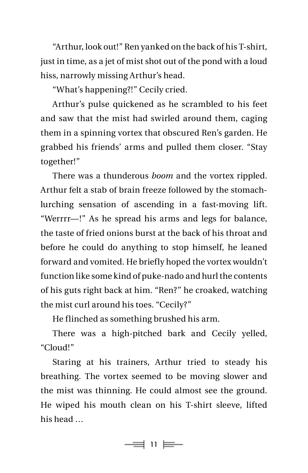"Arthur, look out!" Ren yanked on the back of his T-shirt, just in time, as a jet of mist shot out of the pond with a loud hiss, narrowly missing Arthur's head.

"What's happening?!" Cecily cried.

Arthur's pulse quickened as he scrambled to his feet and saw that the mist had swirled around them, caging them in a spinning vortex that obscured Ren's garden. He grabbed his friends' arms and pulled them closer. "Stay together!"

 There was a thunderous *boom* and the vortex rippled. Arthur felt a stab of brain freeze followed by the stomachlurching sensation of ascending in a fast-moving lift. "Werrrr—!" As he spread his arms and legs for balance, the taste of fried onions burst at the back of his throat and before he could do anything to stop himself, he leaned forward and vomited. He briefly hoped the vortex wouldn't function like some kind of puke-nado and hurl the contents of his guts right back at him. "Ren?" he croaked, watching the mist curl around his toes. "Cecily?"

He flinched as something brushed his arm.

There was a high-pitched bark and Cecily yelled, "Cloud!"

Staring at his trainers, Arthur tried to steady his breathing. The vortex seemed to be moving slower and the mist was thinning. He could almost see the ground. He wiped his mouth clean on his T-shirt sleeve, lifted his head …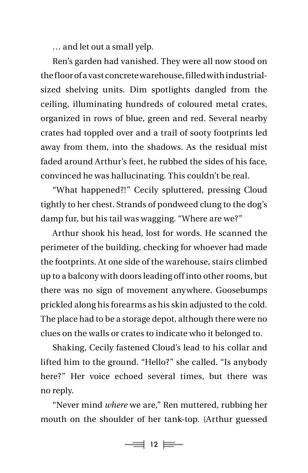… and let out a small yelp.

Ren's garden had vanished. They were all now stood on the floor of a vast concrete warehouse, filled with industrialsized shelving units. Dim spotlights dangled from the ceiling, illuminating hundreds of coloured metal crates, organized in rows of blue, green and red. Several nearby crates had toppled over and a trail of sooty footprints led away from them, into the shadows. As the residual mist faded around Arthur's feet, he rubbed the sides of his face, convinced he was hallucinating. This couldn't be real.

"What happened?!" Cecily spluttered, pressing Cloud tightly to her chest. Strands of pondweed clung to the dog's damp fur, but his tail was wagging. "Where are we?"

Arthur shook his head, lost for words. He scanned the perimeter of the building, checking for whoever had made the footprints. At one side of the warehouse, stairs climbed up to a balcony with doors leading off into other rooms, but there was no sign of movement anywhere. Goosebumps prickled along his forearms as his skin adjusted to the cold. The place had to be a storage depot, although there were no clues on the walls or crates to indicate who it belonged to.

Shaking, Cecily fastened Cloud's lead to his collar and lifted him to the ground. "Hello?" she called. "Is anybody here?" Her voice echoed several times, but there was no reply.

"Never mind *where* we are," Ren muttered, rubbing her mouth on the shoulder of her tank-top. (Arthur guessed

 $\equiv$  12  $\equiv$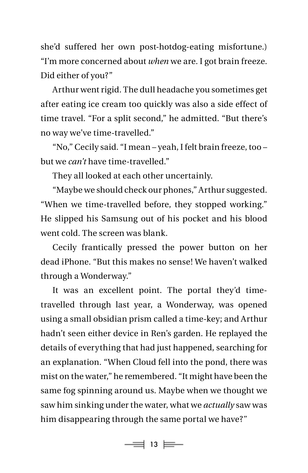she'd suffered her own post-hotdog-eating misfortune.) "I'm more concerned about *when* we are. I got brain freeze. Did either of you?"

Arthur went rigid. The dull headache you sometimes get after eating ice cream too quickly was also a side effect of time travel*.* "For a split second," he admitted. "But there's no way we've time-travelled."

"No," Cecily said. "I mean – yeah, I felt brain freeze, too – but we *can't* have time-travelled."

They all looked at each other uncertainly.

"Maybe we should check our phones," Arthur suggested. "When we time-travelled before, they stopped working." He slipped his Samsung out of his pocket and his blood went cold. The screen was blank.

Cecily frantically pressed the power button on her dead iPhone. "But this makes no sense! We haven't walked through a Wonderway."

It was an excellent point. The portal they'd timetravelled through last year, a Wonderway, was opened using a small obsidian prism called a time-key; and Arthur hadn't seen either device in Ren's garden. He replayed the details of everything that had just happened, searching for an explanation. "When Cloud fell into the pond, there was mist on the water," he remembered. "It might have been the same fog spinning around us. Maybe when we thought we saw him sinking under the water, what we *actually* saw was him disappearing through the same portal we have?"

 $\equiv$  13  $\equiv$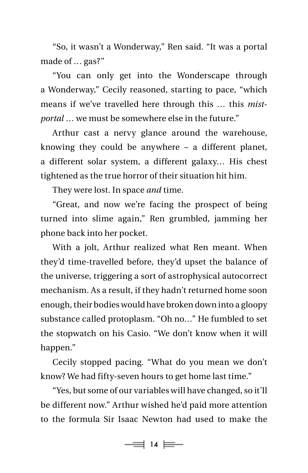"So, it wasn't a Wonderway," Ren said. "It was a portal made of … gas?"

"You can only get into the Wonderscape through a Wonderway," Cecily reasoned, starting to pace, "which means if we've travelled here through this … this *mistportal* … we must be somewhere else in the future."

Arthur cast a nervy glance around the warehouse, knowing they could be anywhere – a different planet, a different solar system, a different galaxy… His chest tightened as the true horror of their situation hit him.

They were lost. In space *and* time.

"Great, and now we're facing the prospect of being turned into slime again," Ren grumbled, jamming her phone back into her pocket.

With a jolt, Arthur realized what Ren meant. When they'd time-travelled before, they'd upset the balance of the universe, triggering a sort of astrophysical autocorrect mechanism. As a result, if they hadn't returned home soon enough, their bodies would have broken down into a gloopy substance called protoplasm. "Oh no…" He fumbled to set the stopwatch on his Casio. "We don't know when it will happen."

Cecily stopped pacing. "What do you mean we don't know? We had fifty-seven hours to get home last time."

"Yes, but some of our variables will have changed, so it'll be different now." Arthur wished he'd paid more attention to the formula Sir Isaac Newton had used to make the

 $\equiv$  14  $\equiv$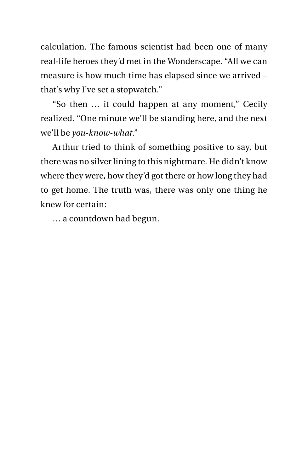calculation. The famous scientist had been one of many real-life heroes they'd met in the Wonderscape. "All we can measure is how much time has elapsed since we arrived – that's why I've set a stopwatch."

"So then … it could happen at any moment," Cecily realized. "One minute we'll be standing here, and the next we'll be *you-know-what*."

Arthur tried to think of something positive to say, but there was no silver lining to this nightmare. He didn't know where they were, how they'd got there or how long they had to get home. The truth was, there was only one thing he knew for certain:

… a countdown had begun.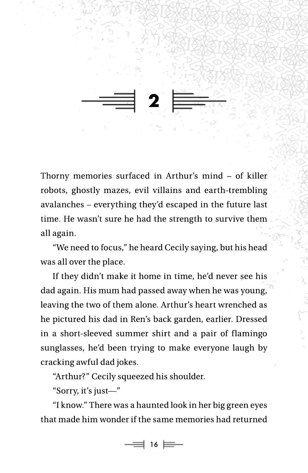**2**

Thorny memories surfaced in Arthur's mind – of killer robots, ghostly mazes, evil villains and earth-trembling avalanches – everything they'd escaped in the future last time. He wasn't sure he had the strength to survive them all again.

"We need to focus," he heard Cecily saying, but his head was all over the place.

If they didn't make it home in time, he'd never see his dad again. His mum had passed away when he was young, leaving the two of them alone. Arthur's heart wrenched as he pictured his dad in Ren's back garden, earlier. Dressed in a short-sleeved summer shirt and a pair of flamingo sunglasses, he'd been trying to make everyone laugh by cracking awful dad jokes.

"Arthur?" Cecily squeezed his shoulder.

"Sorry, it's just—"

"I know." There was a haunted look in her big green eyes that made him wonder if the same memories had returned

16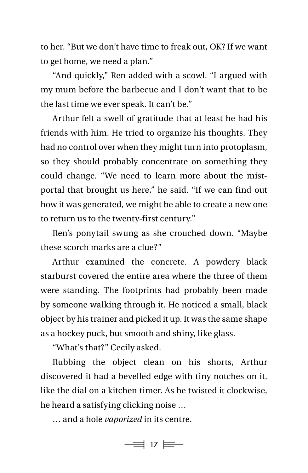to her. "But we don't have time to freak out, OK? If we want to get home, we need a plan."

"And quickly," Ren added with a scowl. "I argued with my mum before the barbecue and I don't want that to be the last time we ever speak. It can't be."

Arthur felt a swell of gratitude that at least he had his friends with him. He tried to organize his thoughts. They had no control over when they might turn into protoplasm, so they should probably concentrate on something they could change. "We need to learn more about the mistportal that brought us here," he said. "If we can find out how it was generated, we might be able to create a new one to return us to the twenty-first century."

Ren's ponytail swung as she crouched down. "Maybe these scorch marks are a clue?"

Arthur examined the concrete. A powdery black starburst covered the entire area where the three of them were standing. The footprints had probably been made by someone walking through it. He noticed a small, black object by his trainer and picked it up. It was the same shape as a hockey puck, but smooth and shiny, like glass.

"What's that?" Cecily asked.

Rubbing the object clean on his shorts, Arthur discovered it had a bevelled edge with tiny notches on it, like the dial on a kitchen timer. As he twisted it clockwise, he heard a satisfying clicking noise …

… and a hole *vaporized* in its centre.

 $\Rightarrow$  17  $\equiv$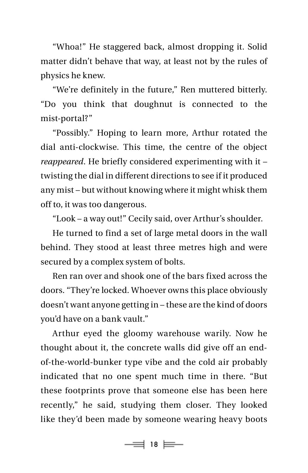"Whoa!" He staggered back, almost dropping it. Solid matter didn't behave that way, at least not by the rules of physics he knew.

"We're definitely in the future," Ren muttered bitterly. "Do you think that doughnut is connected to the mist-portal?"

"Possibly." Hoping to learn more, Arthur rotated the dial anti-clockwise. This time, the centre of the object *reappeared*. He briefly considered experimenting with it – twisting the dial in different directions to see if it produced any mist – but without knowing where it might whisk them off to, it was too dangerous.

"Look – a way out!" Cecily said, over Arthur's shoulder.

He turned to find a set of large metal doors in the wall behind. They stood at least three metres high and were secured by a complex system of bolts.

Ren ran over and shook one of the bars fixed across the doors. "They're locked. Whoever owns this place obviously doesn't want anyone getting in – these are the kind of doors you'd have on a bank vault."

Arthur eyed the gloomy warehouse warily. Now he thought about it, the concrete walls did give off an endof-the-world-bunker type vibe and the cold air probably indicated that no one spent much time in there. "But these footprints prove that someone else has been here recently," he said, studying them closer. They looked like they'd been made by someone wearing heavy boots

 $\equiv$  18  $\equiv$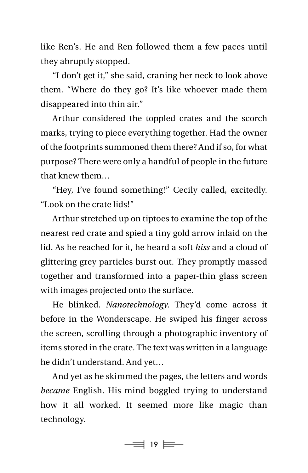like Ren's. He and Ren followed them a few paces until they abruptly stopped.

"I don't get it," she said, craning her neck to look above them. "Where do they go? It's like whoever made them disappeared into thin air."

Arthur considered the toppled crates and the scorch marks, trying to piece everything together. Had the owner of the footprints summoned them there? And if so, for what purpose? There were only a handful of people in the future that knew them…

"Hey, I've found something!" Cecily called, excitedly. "Look on the crate lids!"

Arthur stretched up on tiptoes to examine the top of the nearest red crate and spied a tiny gold arrow inlaid on the lid. As he reached for it, he heard a soft *hiss* and a cloud of glittering grey particles burst out. They promptly massed together and transformed into a paper-thin glass screen with images projected onto the surface.

He blinked. *Nanotechnology*. They'd come across it before in the Wonderscape. He swiped his finger across the screen, scrolling through a photographic inventory of items stored in the crate. The text was written in a language he didn't understand. And yet…

And yet as he skimmed the pages, the letters and words *became* English. His mind boggled trying to understand how it all worked. It seemed more like magic than technology.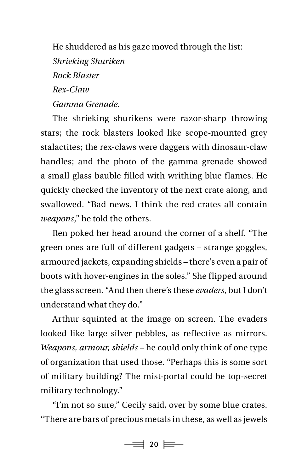He shuddered as his gaze moved through the list: *Shrieking Shuriken Rock Blaster Rex-Claw Gamma Grenade.*

The shrieking shurikens were razor-sharp throwing stars; the rock blasters looked like scope-mounted grey stalactites; the rex-claws were daggers with dinosaur-claw handles; and the photo of the gamma grenade showed a small glass bauble filled with writhing blue flames. He quickly checked the inventory of the next crate along, and swallowed. "Bad news. I think the red crates all contain *weapons*," he told the others.

Ren poked her head around the corner of a shelf. "The green ones are full of different gadgets – strange goggles, armoured jackets, expanding shields – there's even a pair of boots with hover-engines in the soles." She flipped around the glass screen. "And then there's these *evaders*, but I don't understand what they do."

Arthur squinted at the image on screen. The evaders looked like large silver pebbles, as reflective as mirrors. *Weapons, armour, shields* – he could only think of one type of organization that used those. "Perhaps this is some sort of military building? The mist-portal could be top-secret military technology."

"I'm not so sure," Cecily said, over by some blue crates. "There are bars of precious metals in these, as well as jewels

 $\Rightarrow$  20  $\equiv$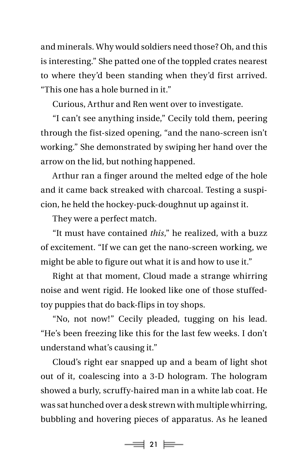and minerals. Why would soldiers need those? Oh, and this is interesting." She patted one of the toppled crates nearest to where they'd been standing when they'd first arrived. "This one has a hole burned in it."

Curious, Arthur and Ren went over to investigate.

"I can't see anything inside," Cecily told them, peering through the fist-sized opening, "and the nano-screen isn't working." She demonstrated by swiping her hand over the arrow on the lid, but nothing happened.

Arthur ran a finger around the melted edge of the hole and it came back streaked with charcoal. Testing a suspicion, he held the hockey-puck-doughnut up against it.

They were a perfect match.

"It must have contained *this*," he realized, with a buzz of excitement. "If we can get the nano-screen working, we might be able to figure out what it is and how to use it."

Right at that moment, Cloud made a strange whirring noise and went rigid. He looked like one of those stuffedtoy puppies that do back-flips in toy shops.

"No, not now!" Cecily pleaded, tugging on his lead. "He's been freezing like this for the last few weeks. I don't understand what's causing it."

Cloud's right ear snapped up and a beam of light shot out of it, coalescing into a 3-D hologram. The hologram showed a burly, scruffy-haired man in a white lab coat. He was sat hunched over a desk strewn with multiple whirring, bubbling and hovering pieces of apparatus. As he leaned

 $\Rightarrow$  21  $\equiv$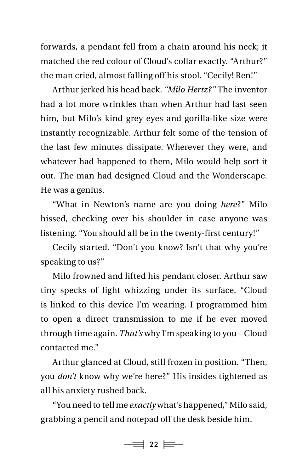forwards, a pendant fell from a chain around his neck; it matched the red colour of Cloud's collar exactly. "Arthur?" the man cried, almost falling off his stool. "Cecily! Ren!"

Arthur jerked his head back. *"Milo Hertz?"* The inventor had a lot more wrinkles than when Arthur had last seen him, but Milo's kind grey eyes and gorilla-like size were instantly recognizable. Arthur felt some of the tension of the last few minutes dissipate. Wherever they were, and whatever had happened to them, Milo would help sort it out. The man had designed Cloud and the Wonderscape. He was a genius.

"What in Newton's name are you doing *here*?" Milo hissed, checking over his shoulder in case anyone was listening. "You should all be in the twenty-first century!"

Cecily started. "Don't you know? Isn't that why you're speaking to us?"

Milo frowned and lifted his pendant closer. Arthur saw tiny specks of light whizzing under its surface. "Cloud is linked to this device I'm wearing. I programmed him to open a direct transmission to me if he ever moved through time again. *That's* why I'm speaking to you – Cloud contacted me."

Arthur glanced at Cloud, still frozen in position. "Then, you *don't* know why we're here?" His insides tightened as all his anxiety rushed back.

"You need to tell me *exactly* what's happened," Milo said, grabbing a pencil and notepad off the desk beside him.

 $\equiv$  22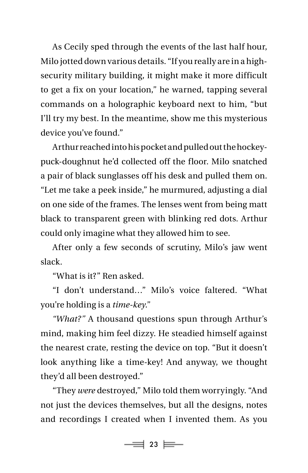As Cecily sped through the events of the last half hour, Milo jotted down various details. "If you really are in a highsecurity military building, it might make it more difficult to get a fix on your location," he warned, tapping several commands on a holographic keyboard next to him, "but I'll try my best. In the meantime, show me this mysterious device you've found."

Arthur reached into his pocket and pulled out the hockeypuck-doughnut he'd collected off the floor. Milo snatched a pair of black sunglasses off his desk and pulled them on. "Let me take a peek inside," he murmured, adjusting a dial on one side of the frames. The lenses went from being matt black to transparent green with blinking red dots. Arthur could only imagine what they allowed him to see.

After only a few seconds of scrutiny, Milo's jaw went slack.

"What is it?" Ren asked.

"I don't understand…" Milo's voice faltered. "What you're holding is a *time-key*."

*"What?"* A thousand questions spun through Arthur's mind, making him feel dizzy. He steadied himself against the nearest crate, resting the device on top. "But it doesn't look anything like a time-key! And anyway, we thought they'd all been destroyed."

"They *were* destroyed," Milo told them worryingly. "And not just the devices themselves, but all the designs, notes and recordings I created when I invented them. As you

 $\equiv$  23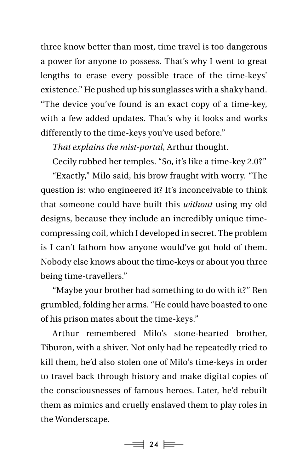three know better than most, time travel is too dangerous a power for anyone to possess. That's why I went to great lengths to erase every possible trace of the time-keys' existence." He pushed up his sunglasses with a shaky hand. "The device you've found is an exact copy of a time-key, with a few added updates. That's why it looks and works differently to the time-keys you've used before."

*That explains the mist-portal,* Arthur thought.

Cecily rubbed her temples. "So, it's like a time-key 2.0?"

"Exactly," Milo said, his brow fraught with worry. "The question is: who engineered it? It's inconceivable to think that someone could have built this *without* using my old designs, because they include an incredibly unique timecompressing coil, which I developed in secret. The problem is I can't fathom how anyone would've got hold of them. Nobody else knows about the time-keys or about you three being time-travellers."

"Maybe your brother had something to do with it?" Ren grumbled, folding her arms. "He could have boasted to one of his prison mates about the time-keys."

Arthur remembered Milo's stone-hearted brother, Tiburon, with a shiver. Not only had he repeatedly tried to kill them, he'd also stolen one of Milo's time-keys in order to travel back through history and make digital copies of the consciousnesses of famous heroes. Later, he'd rebuilt them as mimics and cruelly enslaved them to play roles in the Wonderscape.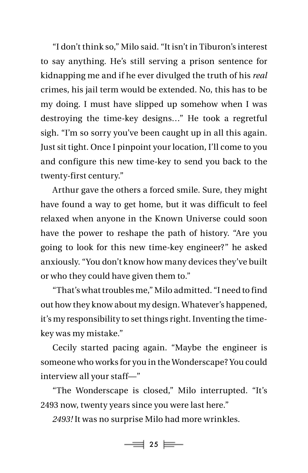"I don't think so," Milo said. "It isn't in Tiburon's interest to say anything. He's still serving a prison sentence for kidnapping me and if he ever divulged the truth of his *real* crimes, his jail term would be extended. No, this has to be my doing. I must have slipped up somehow when I was destroying the time-key designs…" He took a regretful sigh. "I'm so sorry you've been caught up in all this again. Just sit tight. Once I pinpoint your location, I'll come to you and configure this new time-key to send you back to the twenty-first century."

Arthur gave the others a forced smile. Sure, they might have found a way to get home, but it was difficult to feel relaxed when anyone in the Known Universe could soon have the power to reshape the path of history. "Are you going to look for this new time-key engineer?" he asked anxiously. "You don't know how many devices they've built or who they could have given them to."

"That's what troubles me," Milo admitted. "I need to find out how they know about my design. Whatever's happened, it's my responsibility to set things right. Inventing the timekey was my mistake."

Cecily started pacing again. "Maybe the engineer is someone who works for you in the Wonderscape? You could interview all your staff—"

"The Wonderscape is closed," Milo interrupted. "It's 2493 now, twenty years since you were last here."

*2493!* It was no surprise Milo had more wrinkles.

 $\equiv$  25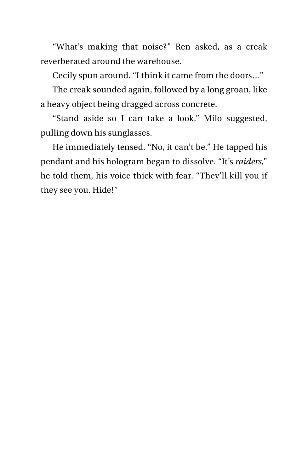"What's making that noise?" Ren asked, as a creak reverberated around the warehouse.

Cecily spun around. "I think it came from the doors…"

The creak sounded again, followed by a long groan, like a heavy object being dragged across concrete.

"Stand aside so I can take a look," Milo suggested, pulling down his sunglasses.

He immediately tensed. "No, it can't be." He tapped his pendant and his hologram began to dissolve. "It's *raiders*," he told them, his voice thick with fear. "They'll kill you if they see you. Hide!"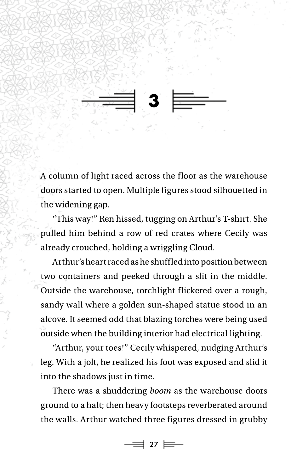**3**

A column of light raced across the floor as the warehouse doors started to open. Multiple figures stood silhouetted in the widening gap.

"This way!" Ren hissed, tugging on Arthur's T-shirt. She pulled him behind a row of red crates where Cecily was already crouched, holding a wriggling Cloud.

Arthur's heart raced as he shuffled into position between two containers and peeked through a slit in the middle. Outside the warehouse, torchlight flickered over a rough, sandy wall where a golden sun-shaped statue stood in an alcove. It seemed odd that blazing torches were being used outside when the building interior had electrical lighting.

"Arthur, your toes!" Cecily whispered, nudging Arthur's leg. With a jolt, he realized his foot was exposed and slid it into the shadows just in time.

There was a shuddering *boom* as the warehouse doors ground to a halt; then heavy footsteps reverberated around the walls. Arthur watched three figures dressed in grubby

 $\equiv$  27  $\equiv$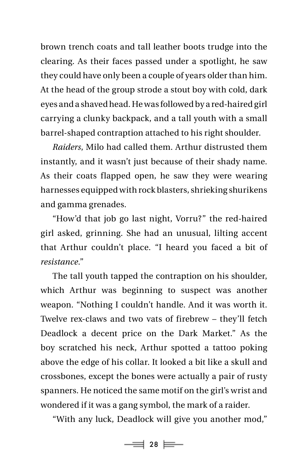brown trench coats and tall leather boots trudge into the clearing. As their faces passed under a spotlight, he saw they could have only been a couple of years older than him. At the head of the group strode a stout boy with cold, dark eyes and a shaved head. He was followed by a red-haired girl carrying a clunky backpack, and a tall youth with a small barrel-shaped contraption attached to his right shoulder.

*Raiders*, Milo had called them. Arthur distrusted them instantly, and it wasn't just because of their shady name. As their coats flapped open, he saw they were wearing harnesses equipped with rock blasters, shrieking shurikens and gamma grenades.

"How'd that job go last night, Vorru?" the red-haired girl asked, grinning. She had an unusual, lilting accent that Arthur couldn't place. "I heard you faced a bit of *resistance*."

The tall youth tapped the contraption on his shoulder, which Arthur was beginning to suspect was another weapon. "Nothing I couldn't handle. And it was worth it. Twelve rex-claws and two vats of firebrew – they'll fetch Deadlock a decent price on the Dark Market." As the boy scratched his neck, Arthur spotted a tattoo poking above the edge of his collar. It looked a bit like a skull and crossbones, except the bones were actually a pair of rusty spanners. He noticed the same motif on the girl's wrist and wondered if it was a gang symbol, the mark of a raider.

"With any luck, Deadlock will give you another mod,"

 $\equiv$  28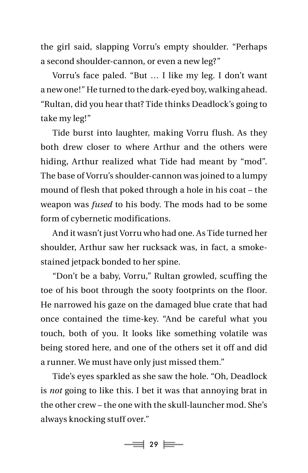the girl said, slapping Vorru's empty shoulder. "Perhaps a second shoulder-cannon, or even a new leg?"

Vorru's face paled. "But … I like my leg. I don't want a new one!" He turned to the dark-eyed boy, walking ahead. "Rultan, did you hear that? Tide thinks Deadlock's going to take my leg!"

Tide burst into laughter, making Vorru flush. As they both drew closer to where Arthur and the others were hiding, Arthur realized what Tide had meant by "mod". The base of Vorru's shoulder-cannon was joined to a lumpy mound of flesh that poked through a hole in his coat – the weapon was *fused* to his body. The mods had to be some form of cybernetic modifications.

And it wasn't just Vorru who had one. As Tide turned her shoulder, Arthur saw her rucksack was, in fact, a smokestained jetpack bonded to her spine.

"Don't be a baby, Vorru," Rultan growled, scuffing the toe of his boot through the sooty footprints on the floor. He narrowed his gaze on the damaged blue crate that had once contained the time-key. "And be careful what you touch, both of you. It looks like something volatile was being stored here, and one of the others set it off and did a runner. We must have only just missed them."

Tide's eyes sparkled as she saw the hole. "Oh, Deadlock is *not* going to like this. I bet it was that annoying brat in the other crew – the one with the skull-launcher mod. She's always knocking stuff over."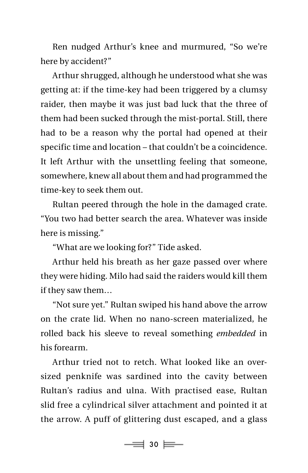Ren nudged Arthur's knee and murmured, "So we're here by accident?"

Arthur shrugged, although he understood what she was getting at: if the time-key had been triggered by a clumsy raider, then maybe it was just bad luck that the three of them had been sucked through the mist-portal. Still, there had to be a reason why the portal had opened at their specific time and location – that couldn't be a coincidence. It left Arthur with the unsettling feeling that someone, somewhere, knew all about them and had programmed the time-key to seek them out.

Rultan peered through the hole in the damaged crate. "You two had better search the area. Whatever was inside here is missing."

"What are we looking for?" Tide asked.

Arthur held his breath as her gaze passed over where they were hiding. Milo had said the raiders would kill them if they saw them…

"Not sure yet." Rultan swiped his hand above the arrow on the crate lid. When no nano-screen materialized, he rolled back his sleeve to reveal something *embedded* in his forearm.

Arthur tried not to retch. What looked like an oversized penknife was sardined into the cavity between Rultan's radius and ulna. With practised ease, Rultan slid free a cylindrical silver attachment and pointed it at the arrow. A puff of glittering dust escaped, and a glass

 $\Rightarrow$  30  $\equiv$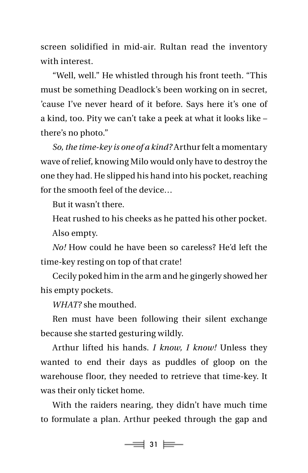screen solidified in mid-air. Rultan read the inventory with interest.

"Well, well." He whistled through his front teeth. "This must be something Deadlock's been working on in secret, 'cause I've never heard of it before. Says here it's one of a kind, too. Pity we can't take a peek at what it looks like – there's no photo."

*So, the time-key is one of a kind?* Arthur felt a momentary wave of relief, knowing Milo would only have to destroy the one they had. He slipped his hand into his pocket, reaching for the smooth feel of the device…

But it wasn't there.

Heat rushed to his cheeks as he patted his other pocket. Also empty.

*No!* How could he have been so careless? He'd left the time-key resting on top of that crate!

Cecily poked him in the arm and he gingerly showed her his empty pockets.

*WHAT?* she mouthed.

Ren must have been following their silent exchange because she started gesturing wildly.

Arthur lifted his hands. *I know, I know!* Unless they wanted to end their days as puddles of gloop on the warehouse floor, they needed to retrieve that time-key. It was their only ticket home.

With the raiders nearing, they didn't have much time to formulate a plan. Arthur peeked through the gap and

 $\Rightarrow$  31  $\equiv$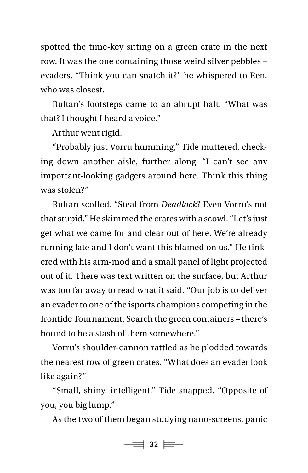spotted the time-key sitting on a green crate in the next row. It was the one containing those weird silver pebbles – evaders. "Think you can snatch it?" he whispered to Ren, who was closest.

Rultan's footsteps came to an abrupt halt. "What was that? I thought I heard a voice."

Arthur went rigid.

"Probably just Vorru humming," Tide muttered, checking down another aisle, further along. "I can't see any important-looking gadgets around here. Think this thing was stolen?"

Rultan scoffed. "Steal from *Deadlock*? Even Vorru's not that stupid." He skimmed the crates with a scowl. "Let's just get what we came for and clear out of here. We're already running late and I don't want this blamed on us." He tinkered with his arm-mod and a small panel of light projected out of it. There was text written on the surface, but Arthur was too far away to read what it said. "Our job is to deliver an evader to one of the isports champions competing in the Irontide Tournament. Search the green containers – there's bound to be a stash of them somewhere."

Vorru's shoulder-cannon rattled as he plodded towards the nearest row of green crates. "What does an evader look like again?"

"Small, shiny, intelligent," Tide snapped. "Opposite of you, you big lump."

As the two of them began studying nano-screens, panic

 $\equiv$  32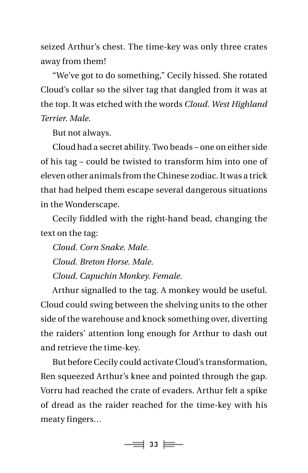seized Arthur's chest. The time-key was only three crates away from them!

"We've got to do something," Cecily hissed. She rotated Cloud's collar so the silver tag that dangled from it was at the top. It was etched with the words *Cloud. West Highland Terrier. Male*.

But not always.

Cloud had a secret ability. Two beads – one on either side of his tag – could be twisted to transform him into one of eleven other animals from the Chinese zodiac. It was a trick that had helped them escape several dangerous situations in the Wonderscape.

Cecily fiddled with the right-hand bead, changing the text on the tag:

 *Cloud. Corn Snake. Male*. *Cloud. Breton Horse. Male*. *Cloud. Capuchin Monkey. Female*.

Arthur signalled to the tag. A monkey would be useful. Cloud could swing between the shelving units to the other side of the warehouse and knock something over, diverting the raiders' attention long enough for Arthur to dash out and retrieve the time-key.

But before Cecily could activate Cloud's transformation, Ren squeezed Arthur's knee and pointed through the gap. Vorru had reached the crate of evaders. Arthur felt a spike of dread as the raider reached for the time-key with his meaty fingers…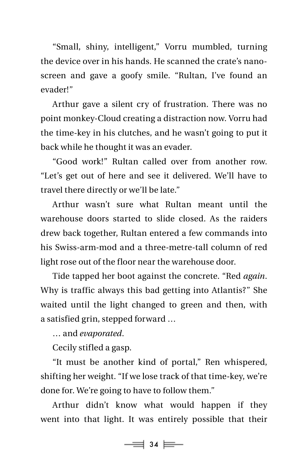"Small, shiny, intelligent," Vorru mumbled, turning the device over in his hands. He scanned the crate's nanoscreen and gave a goofy smile. "Rultan, I've found an evader!"

Arthur gave a silent cry of frustration. There was no point monkey-Cloud creating a distraction now. Vorru had the time-key in his clutches, and he wasn't going to put it back while he thought it was an evader.

"Good work!" Rultan called over from another row. "Let's get out of here and see it delivered. We'll have to travel there directly or we'll be late."

Arthur wasn't sure what Rultan meant until the warehouse doors started to slide closed. As the raiders drew back together, Rultan entered a few commands into his Swiss-arm-mod and a three-metre-tall column of red light rose out of the floor near the warehouse door.

Tide tapped her boot against the concrete. "Red *again*. Why is traffic always this bad getting into Atlantis?" She waited until the light changed to green and then, with a satisfied grin, stepped forward …

… and *evaporated*.

Cecily stifled a gasp.

"It must be another kind of portal," Ren whispered, shifting her weight. "If we lose track of that time-key, we're done for. We're going to have to follow them."

Arthur didn't know what would happen if they went into that light. It was entirely possible that their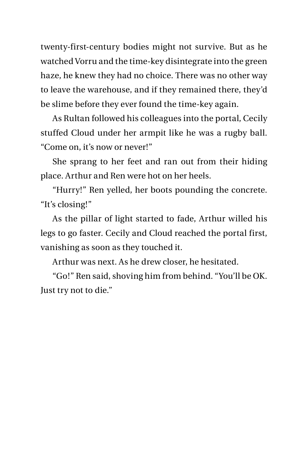twenty-first-century bodies might not survive. But as he watched Vorru and the time-key disintegrate into the green haze, he knew they had no choice. There was no other way to leave the warehouse, and if they remained there, they'd be slime before they ever found the time-key again.

As Rultan followed his colleagues into the portal, Cecily stuffed Cloud under her armpit like he was a rugby ball. "Come on, it's now or never!"

She sprang to her feet and ran out from their hiding place. Arthur and Ren were hot on her heels.

"Hurry!" Ren yelled, her boots pounding the concrete. "It's closing!"

As the pillar of light started to fade, Arthur willed his legs to go faster. Cecily and Cloud reached the portal first, vanishing as soon as they touched it.

Arthur was next. As he drew closer, he hesitated.

"Go!" Ren said, shoving him from behind. "You'll be OK. Just try not to die."